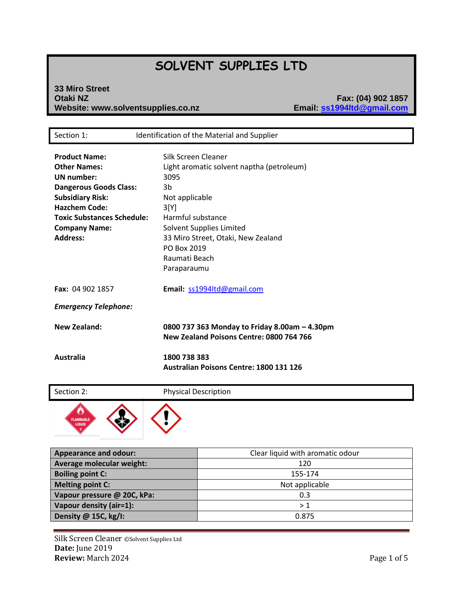# **SOLVENT SUPPLIES LTD**

## **33 Miro Street Website: www.solventsupplies.co.nz**

**Otaki NZ Fax: (04) 902 1857**

| Section 1:                                                                                                                                                                                                                    | Identification of the Material and Supplier                                                                                                                                                                                                    |
|-------------------------------------------------------------------------------------------------------------------------------------------------------------------------------------------------------------------------------|------------------------------------------------------------------------------------------------------------------------------------------------------------------------------------------------------------------------------------------------|
| <b>Product Name:</b><br><b>Other Names:</b><br>UN number:<br><b>Dangerous Goods Class:</b><br><b>Subsidiary Risk:</b><br><b>Hazchem Code:</b><br><b>Toxic Substances Schedule:</b><br><b>Company Name:</b><br><b>Address:</b> | Silk Screen Cleaner<br>Light aromatic solvent naptha (petroleum)<br>3095<br>3b<br>Not applicable<br>3[Y]<br>Harmful substance<br>Solvent Supplies Limited<br>33 Miro Street, Otaki, New Zealand<br>PO Box 2019<br>Raumati Beach<br>Paraparaumu |
| Fax: 04 902 1857                                                                                                                                                                                                              | Email: ss1994ltd@gmail.com                                                                                                                                                                                                                     |
| <b>Emergency Telephone:</b>                                                                                                                                                                                                   |                                                                                                                                                                                                                                                |
| <b>New Zealand:</b>                                                                                                                                                                                                           | 0800 737 363 Monday to Friday 8.00am - 4.30pm<br>New Zealand Poisons Centre: 0800 764 766                                                                                                                                                      |
| <b>Australia</b>                                                                                                                                                                                                              | 1800 738 383<br>Australian Poisons Centre: 1800 131 126                                                                                                                                                                                        |

Section 2: Physical Description



| <b>Appearance and odour:</b> | Clear liquid with aromatic odour |
|------------------------------|----------------------------------|
| Average molecular weight:    | 120                              |
| <b>Boiling point C:</b>      | 155-174                          |
| <b>Melting point C:</b>      | Not applicable                   |
| Vapour pressure @ 20C, kPa:  | 0.3                              |
| Vapour density (air=1):      | >1                               |
| Density @ 15C, kg/I:         | 0.875                            |

Silk Screen Cleaner ©Solvent Supplies Ltd **Date:** June 2019 **Review:** March 2024 **Page 1 of 5**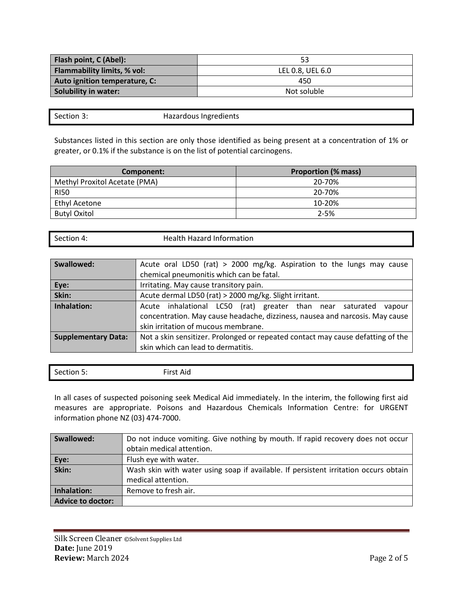| Flash point, C (Abel):        | 53               |
|-------------------------------|------------------|
| Flammability limits, % vol:   | LEL 0.8, UEL 6.0 |
| Auto ignition temperature, C: | 450              |
| <b>Solubility in water:</b>   | Not soluble      |

Section 3: Hazardous Ingredients

Substances listed in this section are only those identified as being present at a concentration of 1% or greater, or 0.1% if the substance is on the list of potential carcinogens.

| Component:                    | <b>Proportion (% mass)</b> |
|-------------------------------|----------------------------|
| Methyl Proxitol Acetate (PMA) | 20-70%                     |
| <b>RI50</b>                   | 20-70%                     |
| <b>Ethyl Acetone</b>          | 10-20%                     |
| <b>Butyl Oxitol</b>           | $2 - 5%$                   |

| Section 4: | Health Hazard Information |
|------------|---------------------------|
|            |                           |

| Swallowed:                 | Acute oral LD50 (rat) > 2000 mg/kg. Aspiration to the lungs may cause           |
|----------------------------|---------------------------------------------------------------------------------|
|                            | chemical pneumonitis which can be fatal.                                        |
| Eye:                       | Irritating. May cause transitory pain.                                          |
| Skin:                      | Acute dermal LD50 (rat) > 2000 mg/kg. Slight irritant.                          |
| Inhalation:                | Acute inhalational LC50 (rat) greater than near saturated<br>vapour             |
|                            | concentration. May cause headache, dizziness, nausea and narcosis. May cause    |
|                            | skin irritation of mucous membrane.                                             |
| <b>Supplementary Data:</b> | Not a skin sensitizer. Prolonged or repeated contact may cause defatting of the |
|                            | skin which can lead to dermatitis.                                              |

| -<br>$\overline{\phantom{a}}$<br>Section 5: | First Aid |
|---------------------------------------------|-----------|
|                                             |           |

In all cases of suspected poisoning seek Medical Aid immediately. In the interim, the following first aid measures are appropriate. Poisons and Hazardous Chemicals Information Centre: for URGENT information phone NZ (03) 474-7000.

| Swallowed:        | Do not induce vomiting. Give nothing by mouth. If rapid recovery does not occur      |
|-------------------|--------------------------------------------------------------------------------------|
|                   | obtain medical attention.                                                            |
| Eye:<br>Skin:     | Flush eye with water.                                                                |
|                   | Wash skin with water using soap if available. If persistent irritation occurs obtain |
|                   | medical attention.                                                                   |
| Inhalation:       | Remove to fresh air.                                                                 |
| Advice to doctor: |                                                                                      |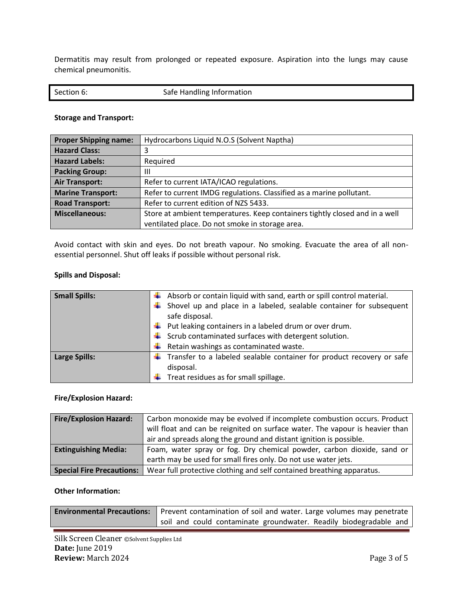Dermatitis may result from prolonged or repeated exposure. Aspiration into the lungs may cause chemical pneumonitis.

#### **Storage and Transport:**

| <b>Proper Shipping name:</b> | Hydrocarbons Liquid N.O.S (Solvent Naptha)                                  |
|------------------------------|-----------------------------------------------------------------------------|
| <b>Hazard Class:</b>         |                                                                             |
| <b>Hazard Labels:</b>        | Required                                                                    |
| <b>Packing Group:</b>        | Ш                                                                           |
| <b>Air Transport:</b>        | Refer to current IATA/ICAO regulations.                                     |
| <b>Marine Transport:</b>     | Refer to current IMDG regulations. Classified as a marine pollutant.        |
| <b>Road Transport:</b>       | Refer to current edition of NZS 5433.                                       |
| <b>Miscellaneous:</b>        | Store at ambient temperatures. Keep containers tightly closed and in a well |
|                              | ventilated place. Do not smoke in storage area.                             |

Avoid contact with skin and eyes. Do not breath vapour. No smoking. Evacuate the area of all nonessential personnel. Shut off leaks if possible without personal risk.

#### **Spills and Disposal:**

| <b>Small Spills:</b> | $\ddot{*}$ Absorb or contain liquid with sand, earth or spill control material. |
|----------------------|---------------------------------------------------------------------------------|
|                      | Shovel up and place in a labeled, sealable container for subsequent             |
|                      | safe disposal.                                                                  |
|                      | $\downarrow$ Put leaking containers in a labeled drum or over drum.             |
|                      | $\downarrow$ Scrub contaminated surfaces with detergent solution.               |
|                      | $\bigstar$ Retain washings as contaminated waste.                               |
| <b>Large Spills:</b> | Transfer to a labeled sealable container for product recovery or safe           |
|                      | disposal.                                                                       |
|                      | Treat residues as for small spillage.                                           |

#### **Fire/Explosion Hazard:**

| <b>Fire/Explosion Hazard:</b>    | Carbon monoxide may be evolved if incomplete combustion occurs. Product      |
|----------------------------------|------------------------------------------------------------------------------|
|                                  | will float and can be reignited on surface water. The vapour is heavier than |
|                                  | air and spreads along the ground and distant ignition is possible.           |
| <b>Extinguishing Media:</b>      | Foam, water spray or fog. Dry chemical powder, carbon dioxide, sand or       |
|                                  | earth may be used for small fires only. Do not use water jets.               |
| <b>Special Fire Precautions:</b> | Wear full protective clothing and self contained breathing apparatus.        |

#### **Other Information:**

| <b>Environmental Precautions:</b> Prevent contamination of soil and water. Large volumes may penetrate budgetardance in |  |  |
|-------------------------------------------------------------------------------------------------------------------------|--|--|
| soil and could contaminate groundwater. Readily biodegradable and                                                       |  |  |

Silk Screen Cleaner ©Solvent Supplies Ltd **Date:** June 2019 **Review:** March 2024 Page 3 of 5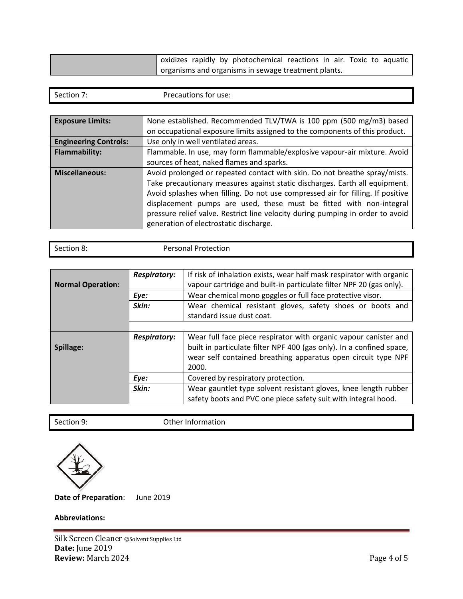| oxidizes rapidly by photochemical reactions in air. Toxic to aquatic |
|----------------------------------------------------------------------|
| organisms and organisms in sewage treatment plants.                  |

| Section 7: | Precautions for use: |
|------------|----------------------|
|            |                      |

| <b>Exposure Limits:</b>      | None established. Recommended TLV/TWA is 100 ppm (500 mg/m3) based<br>on occupational exposure limits assigned to the components of this product.                                                                                                                                                                                                                                                                                               |  |  |
|------------------------------|-------------------------------------------------------------------------------------------------------------------------------------------------------------------------------------------------------------------------------------------------------------------------------------------------------------------------------------------------------------------------------------------------------------------------------------------------|--|--|
| <b>Engineering Controls:</b> | Use only in well ventilated areas.                                                                                                                                                                                                                                                                                                                                                                                                              |  |  |
| <b>Flammability:</b>         | Flammable. In use, may form flammable/explosive vapour-air mixture. Avoid                                                                                                                                                                                                                                                                                                                                                                       |  |  |
|                              | sources of heat, naked flames and sparks.                                                                                                                                                                                                                                                                                                                                                                                                       |  |  |
| <b>Miscellaneous:</b>        | Avoid prolonged or repeated contact with skin. Do not breathe spray/mists.<br>Take precautionary measures against static discharges. Earth all equipment.<br>Avoid splashes when filling. Do not use compressed air for filling. If positive<br>displacement pumps are used, these must be fitted with non-integral<br>pressure relief valve. Restrict line velocity during pumping in order to avoid<br>generation of electrostatic discharge. |  |  |

| Section 8: | <b>Personal Protection</b> |
|------------|----------------------------|
|            |                            |

|                          | <b>Respiratory:</b> | If risk of inhalation exists, wear half mask respirator with organic                                                                                                                                               |
|--------------------------|---------------------|--------------------------------------------------------------------------------------------------------------------------------------------------------------------------------------------------------------------|
| <b>Normal Operation:</b> |                     | vapour cartridge and built-in particulate filter NPF 20 (gas only).                                                                                                                                                |
|                          | Eye:                | Wear chemical mono goggles or full face protective visor.                                                                                                                                                          |
|                          | Skin:               | Wear chemical resistant gloves, safety shoes or boots and                                                                                                                                                          |
|                          |                     | standard issue dust coat.                                                                                                                                                                                          |
|                          |                     |                                                                                                                                                                                                                    |
| Spillage:                | <b>Respiratory:</b> | Wear full face piece respirator with organic vapour canister and<br>built in particulate filter NPF 400 (gas only). In a confined space,<br>wear self contained breathing apparatus open circuit type NPF<br>2000. |
|                          | Eye:                | Covered by respiratory protection.                                                                                                                                                                                 |
|                          | Skin:               | Wear gauntlet type solvent resistant gloves, knee length rubber<br>safety boots and PVC one piece safety suit with integral hood.                                                                                  |

Section 9: Other Information

**Date of Preparation**: June 2019

### **Abbreviations:**

Silk Screen Cleaner ©Solvent Supplies Ltd **Date:** June 2019 **Review:** March 2024 **Page 4 of 5**